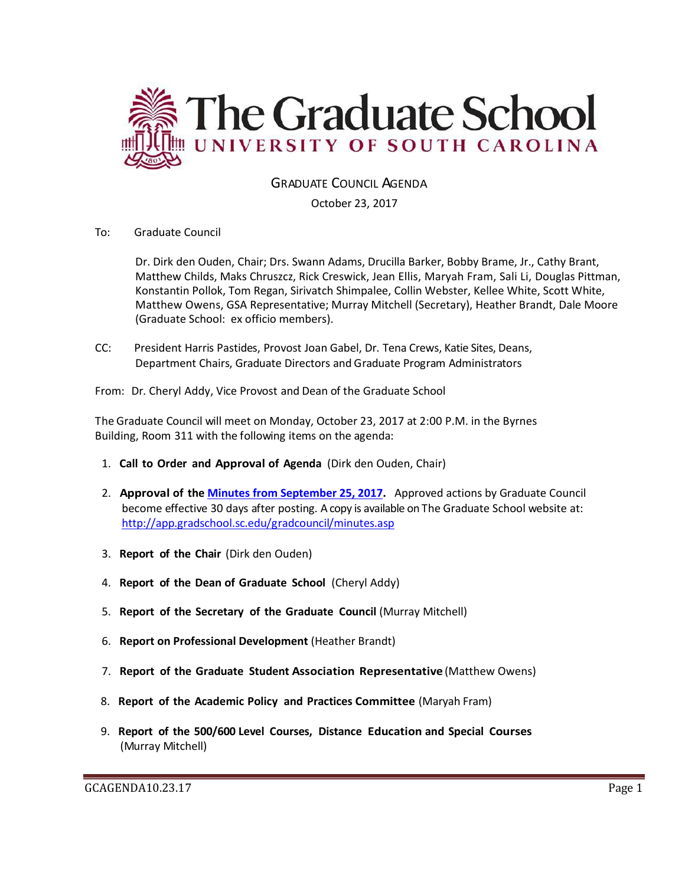

GRADUATE COUNCIL AGENDA

October 23, 2017

To: Graduate Council

Dr. Dirk den Ouden, Chair; Drs. Swann Adams, Drucilla Barker, Bobby Brame, Jr., Cathy Brant, Matthew Childs, Maks Chruszcz, Rick Creswick, Jean Ellis, Maryah Fram, Sali Li, Douglas Pittman, Konstantin Pollok, Tom Regan, Sirivatch Shimpalee, Collin Webster, Kellee White, Scott White, Matthew Owens, GSA Representative; Murray Mitchell (Secretary), Heather Brandt, Dale Moore (Graduate School: ex officio members).

CC: President Harris Pastides, Provost Joan Gabel, Dr. Tena Crews, Katie Sites, Deans, Department Chairs, Graduate Directors and Graduate Program Administrators

From: Dr. Cheryl Addy, Vice Provost and Dean of the Graduate School

The Graduate Council will meet on Monday, October 23, 2017 at 2:00 P.M. in the Byrnes Building, Room 311 with the following items on the agenda:

- 1. **Call to Order and Approval of Agenda** (Dirk den Ouden, Chair)
- 2. **Approval of the [Minutes from September](file:///C:/Users/wandab/Local%20Documents/Graduate%20Council/GCMINUTESSEPT262017MM.pdf) 25, 2017.** Approved actions by Graduate Council become effective 30 days after posting. A copy is available on The Graduate School website at: <http://app.gradschool.sc.edu/gradcouncil/minutes.asp>
- 3. **Report of the Chair** (Dirk den Ouden)
- 4. **Report of the Dean of Graduate School** (Cheryl Addy)
- 5. **Report of the Secretary of the Graduate Council** (Murray Mitchell)
- 6. **Report on Professional Development** (Heather Brandt)
- 7. **Report of the Graduate Student Association Representative** (Matthew Owens)
- 8. **Report of the Academic Policy and Practices Committee** (Maryah Fram)
- 9. **Report of the 500/600 Level Courses, Distance Education and Special Courses** (Murray Mitchell)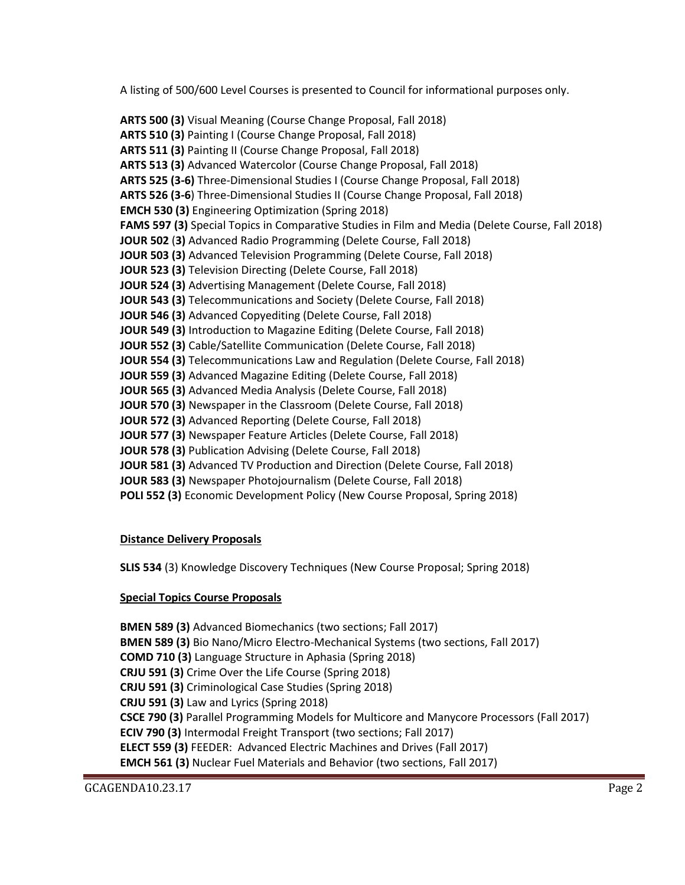A listing of 500/600 Level Courses is presented to Council for informational purposes only.

**ARTS 500 (3)** Visual Meaning (Course Change Proposal, Fall 2018) **ARTS 510 (3)** Painting I (Course Change Proposal, Fall 2018) **ARTS 511 (3)** Painting II (Course Change Proposal, Fall 2018) **ARTS 513 (3)** Advanced Watercolor (Course Change Proposal, Fall 2018) **ARTS 525 (3-6)** Three-Dimensional Studies I (Course Change Proposal, Fall 2018) **ARTS 526 (3-6**) Three-Dimensional Studies II (Course Change Proposal, Fall 2018) **EMCH 530 (3)** Engineering Optimization (Spring 2018) **FAMS 597 (3)** Special Topics in Comparative Studies in Film and Media (Delete Course, Fall 2018) **JOUR 502** (**3)** Advanced Radio Programming (Delete Course, Fall 2018) **JOUR 503 (3)** Advanced Television Programming (Delete Course, Fall 2018) **JOUR 523 (3)** Television Directing (Delete Course, Fall 2018) **JOUR 524 (3)** Advertising Management (Delete Course, Fall 2018) **JOUR 543 (3)** Telecommunications and Society (Delete Course, Fall 2018) **JOUR 546 (3)** Advanced Copyediting (Delete Course, Fall 2018) **JOUR 549 (3)** Introduction to Magazine Editing (Delete Course, Fall 2018) **JOUR 552 (3)** Cable/Satellite Communication (Delete Course, Fall 2018) **JOUR 554 (3)** Telecommunications Law and Regulation (Delete Course, Fall 2018) **JOUR 559 (3)** Advanced Magazine Editing (Delete Course, Fall 2018) **JOUR 565 (3)** Advanced Media Analysis (Delete Course, Fall 2018) **JOUR 570 (3)** Newspaper in the Classroom (Delete Course, Fall 2018) **JOUR 572 (3)** Advanced Reporting (Delete Course, Fall 2018) **JOUR 577 (3)** Newspaper Feature Articles (Delete Course, Fall 2018) **JOUR 578 (3)** Publication Advising (Delete Course, Fall 2018) **JOUR 581 (3)** Advanced TV Production and Direction (Delete Course, Fall 2018) **JOUR 583 (3)** Newspaper Photojournalism (Delete Course, Fall 2018) **POLI 552 (3)** Economic Development Policy (New Course Proposal, Spring 2018)

# **Distance Delivery Proposals**

**SLIS 534** (3) Knowledge Discovery Techniques (New Course Proposal; Spring 2018)

# **Special Topics Course Proposals**

**BMEN 589 (3)** Advanced Biomechanics (two sections; Fall 2017) **BMEN 589 (3)** Bio Nano/Micro Electro-Mechanical Systems (two sections, Fall 2017) **COMD 710 (3)** Language Structure in Aphasia (Spring 2018) **CRJU 591 (3)** Crime Over the Life Course (Spring 2018) **CRJU 591 (3)** Criminological Case Studies (Spring 2018) **CRJU 591 (3)** Law and Lyrics (Spring 2018) **CSCE 790 (3)** Parallel Programming Models for Multicore and Manycore Processors (Fall 2017) **ECIV 790 (3)** Intermodal Freight Transport (two sections; Fall 2017) **ELECT 559 (3)** FEEDER: Advanced Electric Machines and Drives (Fall 2017) **EMCH 561 (3)** Nuclear Fuel Materials and Behavior (two sections, Fall 2017)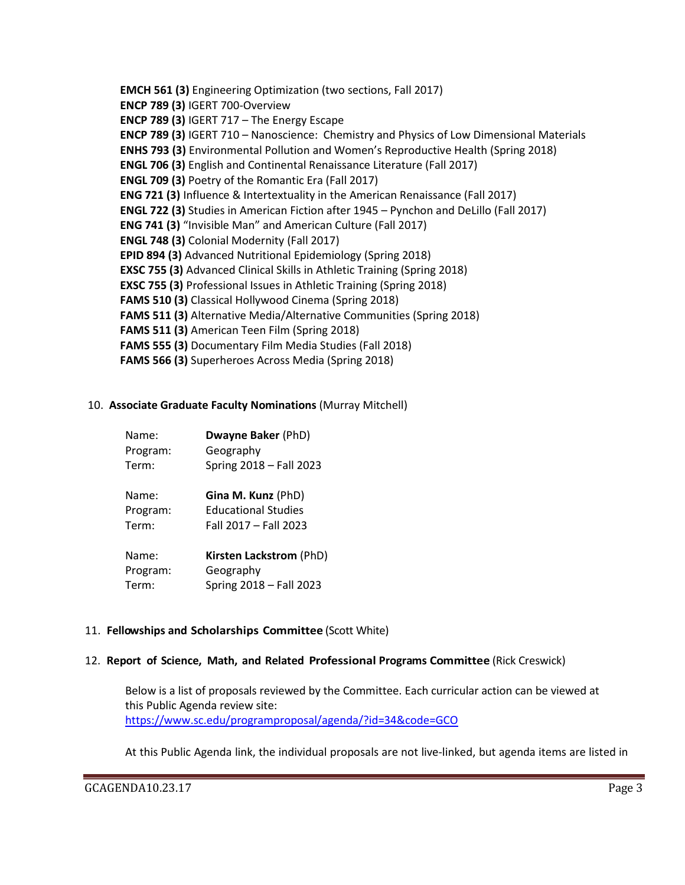**EMCH 561 (3)** Engineering Optimization (two sections, Fall 2017) **ENCP 789 (3)** IGERT 700-Overview **ENCP 789 (3)** IGERT 717 – The Energy Escape **ENCP 789 (3)** IGERT 710 – Nanoscience: Chemistry and Physics of Low Dimensional Materials **ENHS 793 (3)** Environmental Pollution and Women's Reproductive Health (Spring 2018) **ENGL 706 (3)** English and Continental Renaissance Literature (Fall 2017) **ENGL 709 (3)** Poetry of the Romantic Era (Fall 2017) **ENG 721 (3)** Influence & Intertextuality in the American Renaissance (Fall 2017) **ENGL 722 (3)** Studies in American Fiction after 1945 – Pynchon and DeLillo (Fall 2017) **ENG 741 (3)** "Invisible Man" and American Culture (Fall 2017) **ENGL 748 (3)** Colonial Modernity (Fall 2017) **EPID 894 (3)** Advanced Nutritional Epidemiology (Spring 2018) **EXSC 755 (3)** Advanced Clinical Skills in Athletic Training (Spring 2018) **EXSC 755 (3)** Professional Issues in Athletic Training (Spring 2018) **FAMS 510 (3)** Classical Hollywood Cinema (Spring 2018) **FAMS 511 (3)** Alternative Media/Alternative Communities (Spring 2018) **FAMS 511 (3)** American Teen Film (Spring 2018) **FAMS 555 (3)** Documentary Film Media Studies (Fall 2018) **FAMS 566 (3)** Superheroes Across Media (Spring 2018)

#### 10. **Associate Graduate Faculty Nominations** (Murray Mitchell)

| Name:    | <b>Dwayne Baker (PhD)</b>  |
|----------|----------------------------|
| Program: | Geography                  |
| Term:    | Spring 2018 - Fall 2023    |
| Name:    | Gina M. Kunz (PhD)         |
| Program: | <b>Educational Studies</b> |
| Term:    | Fall 2017 - Fall 2023      |
| Name:    | Kirsten Lackstrom (PhD)    |
| Program: | Geography                  |
| Term:    | Spring 2018 - Fall 2023    |

# 11. **Fellowships and Scholarships Committee** (Scott White)

#### 12. **Report of Science, Math, and Related Professional Programs Committee** (Rick Creswick)

Below is a list of proposals reviewed by the Committee. Each curricular action can be viewed at this Public Agenda review site: <https://www.sc.edu/programproposal/agenda/?id=34&code=GCO>

At this Public Agenda link, the individual proposals are not live-linked, but agenda items are listed in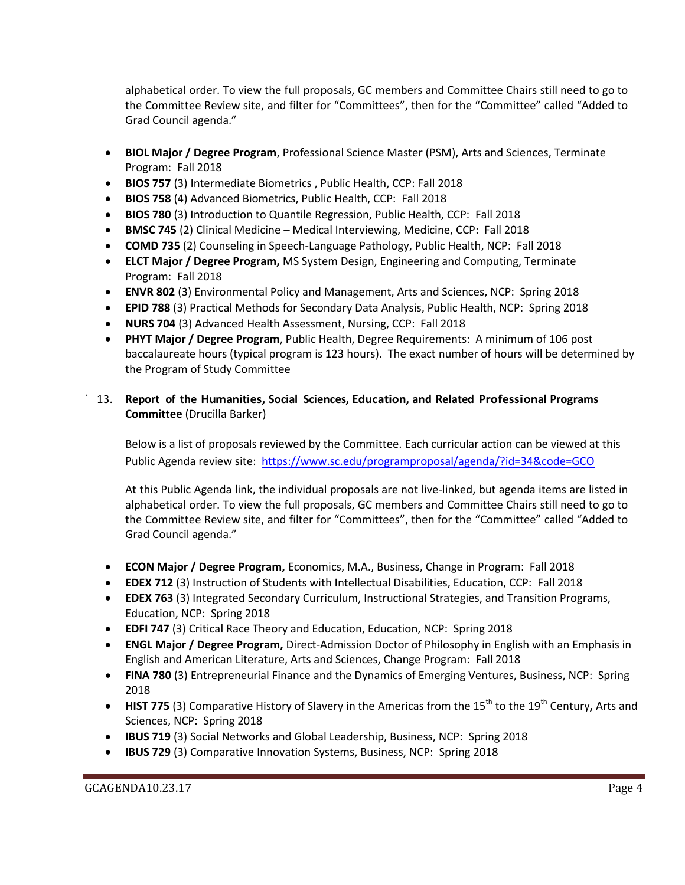alphabetical order. To view the full proposals, GC members and Committee Chairs still need to go to the Committee Review site, and filter for "Committees", then for the "Committee" called "Added to Grad Council agenda."

- **BIOL Major / Degree Program**, Professional Science Master (PSM), Arts and Sciences, Terminate Program: Fall 2018
- **BIOS 757** (3) Intermediate Biometrics , Public Health, CCP: Fall 2018
- **BIOS 758** (4) Advanced Biometrics, Public Health, CCP: Fall 2018
- **BIOS 780** (3) Introduction to Quantile Regression, Public Health, CCP: Fall 2018
- **BMSC 745** (2) Clinical Medicine Medical Interviewing, Medicine, CCP: Fall 2018
- **COMD 735** (2) Counseling in Speech-Language Pathology, Public Health, NCP: Fall 2018
- **ELCT Major / Degree Program,** MS System Design, Engineering and Computing, Terminate Program: Fall 2018
- **ENVR 802** (3) Environmental Policy and Management, Arts and Sciences, NCP: Spring 2018
- **EPID 788** (3) Practical Methods for Secondary Data Analysis, Public Health, NCP: Spring 2018
- **NURS 704** (3) Advanced Health Assessment, Nursing, CCP: Fall 2018
- **PHYT Major / Degree Program**, Public Health, Degree Requirements: A minimum of 106 post baccalaureate hours (typical program is 123 hours). The exact number of hours will be determined by the Program of Study Committee

# ` 13. **Report of the Humanities, Social Sciences, Education, and Related Professional Programs Committee** (Drucilla Barker)

Below is a list of proposals reviewed by the Committee. Each curricular action can be viewed at this Public Agenda review site: <https://www.sc.edu/programproposal/agenda/?id=34&code=GCO>

At this Public Agenda link, the individual proposals are not live-linked, but agenda items are listed in alphabetical order. To view the full proposals, GC members and Committee Chairs still need to go to the Committee Review site, and filter for "Committees", then for the "Committee" called "Added to Grad Council agenda."

- **ECON Major / Degree Program,** Economics, M.A., Business, Change in Program: Fall 2018
- **EDEX 712** (3) Instruction of Students with Intellectual Disabilities, Education, CCP: Fall 2018
- **EDEX 763** (3) Integrated Secondary Curriculum, Instructional Strategies, and Transition Programs, Education, NCP: Spring 2018
- **EDFI 747** (3) Critical Race Theory and Education, Education, NCP: Spring 2018
- **ENGL Major / Degree Program,** Direct-Admission Doctor of Philosophy in English with an Emphasis in English and American Literature, Arts and Sciences, Change Program: Fall 2018
- **FINA 780** (3) Entrepreneurial Finance and the Dynamics of Emerging Ventures, Business, NCP: Spring 2018
- HIST 775 (3) Comparative History of Slavery in the Americas from the 15<sup>th</sup> to the 19<sup>th</sup> Century, Arts and Sciences, NCP: Spring 2018
- **IBUS 719** (3) Social Networks and Global Leadership, Business, NCP: Spring 2018
- **IBUS 729** (3) Comparative Innovation Systems, Business, NCP: Spring 2018